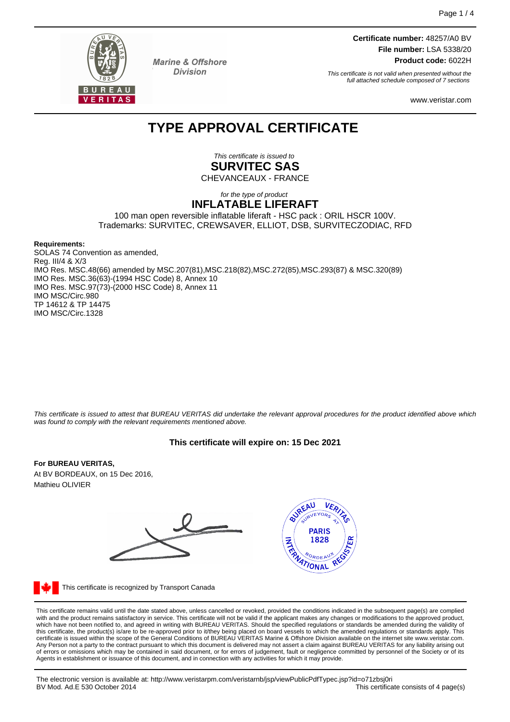

**Marine & Offshore Division** 

**Certificate number:** 48257/A0 BV **File number:** LSA 5338/20 **Product code:** 6022H

This certificate is not valid when presented without the full attached schedule composed of 7 sections

www.veristar.com

# **TYPE APPROVAL CERTIFICATE**

This certificate is issued to **SURVITEC SAS** CHEVANCEAUX - FRANCE

#### for the type of product **INFLATABLE LIFERAFT**

100 man open reversible inflatable liferaft - HSC pack : ORIL HSCR 100V. Trademarks: SURVITEC, CREWSAVER, ELLIOT, DSB, SURVITECZODIAC, RFD

#### **Requirements:**

SOLAS 74 Convention as amended, Reg. III/4 & X/3 IMO Res. MSC.48(66) amended by MSC.207(81),MSC.218(82),MSC.272(85),MSC.293(87) & MSC.320(89) IMO Res. MSC.36(63)-(1994 HSC Code) 8, Annex 10 IMO Res. MSC.97(73)-(2000 HSC Code) 8, Annex 11 IMO MSC/Circ.980 TP 14612 & TP 14475 IMO MSC/Circ.1328

This certificate is issued to attest that BUREAU VERITAS did undertake the relevant approval procedures for the product identified above which was found to comply with the relevant requirements mentioned above.

# **This certificate will expire on: 15 Dec 2021**

#### **For BUREAU VERITAS,**

At BV BORDEAUX, on 15 Dec 2016, Mathieu OLIVIER



This certificate is recognized by Transport Canada

This certificate remains valid until the date stated above, unless cancelled or revoked, provided the conditions indicated in the subsequent page(s) are complied with and the product remains satisfactory in service. This certificate will not be valid if the applicant makes any changes or modifications to the approved product, which have not been notified to, and agreed in writing with BUREAU VERITAS. Should the specified regulations or standards be amended during the validity of<br>this certificate, the product(s) is/are to be re-approved prior to Any Person not a party to the contract pursuant to which this document is delivered may not assert a claim against BUREAU VERITAS for any liability arising out of errors or omissions which may be contained in said document, or for errors of judgement, fault or negligence committed by personnel of the Society or of its Agents in establishment or issuance of this document, and in connection with any activities for which it may provide.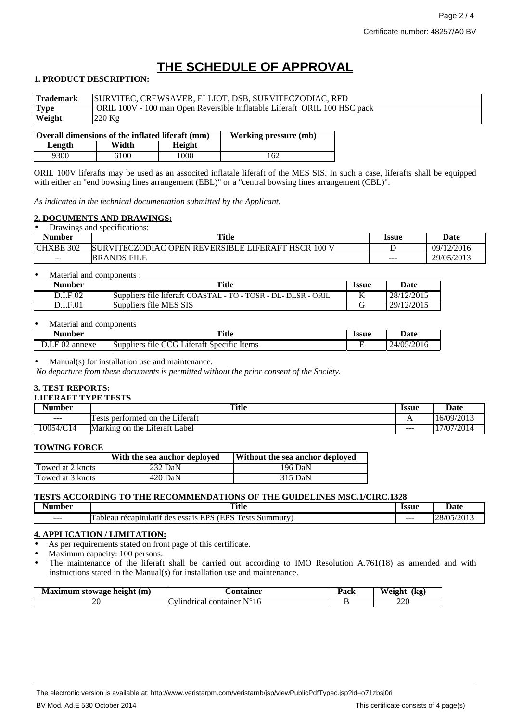# **THE SCHEDULE OF APPROVAL**

# **1. PRODUCT DESCRIPTION:**

| <b>Trademark</b>                                                                 | SURVITEC, CREWSAVER, ELLIOT, DSB, SURVITECZODIAC, RFD                     |  |
|----------------------------------------------------------------------------------|---------------------------------------------------------------------------|--|
| <b>Type</b>                                                                      | ORIL 100V - 100 man Open Reversible Inflatable Liferaft ORIL 100 HSC pack |  |
| Weight                                                                           | $220 \text{ kg}$                                                          |  |
|                                                                                  |                                                                           |  |
| <b>Overall dimensions of the inflated liferaft (mm)</b><br>Working pressure (mb) |                                                                           |  |

| Overall dimensions of the inflated liferaft (mm) |       | <b>Working pressure (mb)</b> |     |
|--------------------------------------------------|-------|------------------------------|-----|
| Length                                           | Width | Height                       |     |
| 9300                                             | 6100  | 1000                         | 162 |

ORIL 100V liferafts may be used as an associted inflatale liferaft of the MES SIS. In such a case, liferafts shall be equipped with either an "end bowsing lines arrangement (EBL)" or a "central bowsing lines arrangement (CBL)".

*As indicated in the technical documentation submitted by the Applicant.*

#### **2. DOCUMENTS AND DRAWINGS:**

| Drawings and specifications:<br>٠ |                                                           |                     |            |
|-----------------------------------|-----------------------------------------------------------|---------------------|------------|
| Number                            | Title                                                     | <i><b>Issue</b></i> | Date       |
| <b>CHXBE 302</b>                  | <b>SURVITECZODIAC OPEN REVERSIBLE LIFERAFT HSCR 100 V</b> |                     | 09/12/2016 |
| $---$                             | <b>BRANDS FILE</b>                                        | ---                 | 29/05/2013 |

#### Material and components :

| Number   | Title                                                         | <i><b>Issue</b></i> | Date       |
|----------|---------------------------------------------------------------|---------------------|------------|
| D.I.F 02 | Suppliers file liferaft COASTAL - TO - TOSR - DL- DLSR - ORIL |                     | 28/12/2015 |
| D.I.F.01 | Suppliers file MES SIS                                        |                     | 29/12/2015 |

#### Material and components

| - -<br>Number                                      | Title<br>$\sim$ $\sim$                                                                     | <b>Issue</b> | <b>Date</b>                    |
|----------------------------------------------------|--------------------------------------------------------------------------------------------|--------------|--------------------------------|
| $\Gamma$ 00<br>annexe<br>$\mathbf{U}_{\mathbf{Z}}$ | $\sim$<br>$\sim$<br>$\cdot$ $\sim$<br>Suppliers<br>Specific<br>_iteratt_<br>Items<br>tile. |              | '2016<br>24/05<br>$\mathbf{v}$ |

Manual(s) for installation use and maintenance.

*No departure from these documents is permitted without the prior consent of the Society.*

# **3. TEST REPORTS:**

# **LIFERAFT TYPE TESTS**

| <b>Number</b>     | <b>Title</b>                                                | Issue        | Date              |
|-------------------|-------------------------------------------------------------|--------------|-------------------|
| $\qquad \qquad -$ | $\cdot$ $\sim$<br>performed on<br>Literatt<br>the<br>ests   | $\mathbf{L}$ | 5/09/2013<br>10/1 |
| 10054/C14         | $\cdot$ $\sim$<br>Marking<br>Label<br>Literati<br>on<br>the | $- - -$      | 17/07/2014        |

#### **TOWING FORCE**

|                  | With the sea anchor deployed | Without the sea anchor deployed |
|------------------|------------------------------|---------------------------------|
| Towed at 2 knots | 232 DaN                      | 196 DaN                         |
| Towed at 3 knots | 420 DaN                      | 315 DaN                         |

# **TESTS ACCORDING TO THE RECOMMENDATIONS OF THE GUIDELINES MSC.1/CIRC.1328**

| Number | <br>Title<br>----                                                                                                                | <b>Issue</b><br>. | <b>Date</b>                                                       |
|--------|----------------------------------------------------------------------------------------------------------------------------------|-------------------|-------------------------------------------------------------------|
| ---    | <b>The Second</b><br>/EDC<br>EDC<br>$\alpha$ oti<br>ulati*<br>≒ummurv.<br>récamiti<br>essais<br>des<br>ableau<br>.<br><b>LAP</b> | $- - -$           | 5.0012<br>$\sqrt{2}$<br>$\gamma$<br>$\sim$<br>. . JJI 1<br>$\sim$ |

# **4. APPLICATION / LIMITATION:**

As per requirements stated on front page of this certificate.

Maximum capacity: 100 persons.

The maintenance of the liferaft shall be carried out according to IMO Resolution A.761(18) as amended and with instructions stated in the Manual(s) for installation use and maintenance.

| height (m)<br>stowage | אר מ<br>$\sim$                      | <br>.<br>° aci. | w<br>(kg,<br>$\sim$  |
|-----------------------|-------------------------------------|-----------------|----------------------|
| ∼<br>$\sim$<br>$\sim$ | $\sqrt{ }$<br>container<br>16<br>__ |                 | nno<br>ZZU<br>$\sim$ |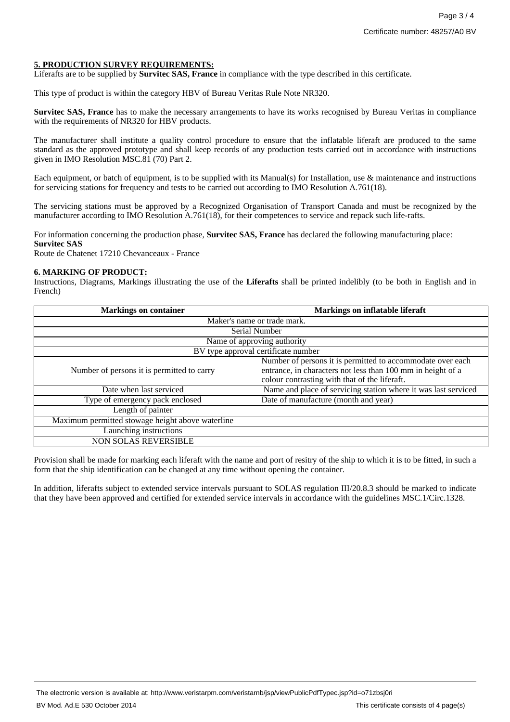### **5. PRODUCTION SURVEY REQUIREMENTS:**

Liferafts are to be supplied by **Survitec SAS, France** in compliance with the type described in this certificate.

This type of product is within the category HBV of Bureau Veritas Rule Note NR320.

**Survitec SAS, France** has to make the necessary arrangements to have its works recognised by Bureau Veritas in compliance with the requirements of NR320 for HBV products.

The manufacturer shall institute a quality control procedure to ensure that the inflatable liferaft are produced to the same standard as the approved prototype and shall keep records of any production tests carried out in accordance with instructions given in IMO Resolution MSC.81 (70) Part 2.

Each equipment, or batch of equipment, is to be supplied with its Manual(s) for Installation, use & maintenance and instructions for servicing stations for frequency and tests to be carried out according to IMO Resolution A.761(18).

The servicing stations must be approved by a Recognized Organisation of Transport Canada and must be recognized by the manufacturer according to IMO Resolution A.761(18), for their competences to service and repack such life-rafts.

For information concerning the production phase, **Survitec SAS, France** has declared the following manufacturing place: **Survitec SAS**

Route de Chatenet 17210 Chevanceaux - France

#### **6. MARKING OF PRODUCT:**

Instructions, Diagrams, Markings illustrating the use of the **Liferafts** shall be printed indelibly (to be both in English and in French)

| <b>Markings on container</b>                     | <b>Markings on inflatable liferaft</b>                         |  |
|--------------------------------------------------|----------------------------------------------------------------|--|
| Maker's name or trade mark.                      |                                                                |  |
| Serial Number                                    |                                                                |  |
| Name of approving authority                      |                                                                |  |
| BV type approval certificate number              |                                                                |  |
|                                                  | Number of persons it is permitted to accommodate over each     |  |
| Number of persons it is permitted to carry       | entrance, in characters not less than 100 mm in height of a    |  |
|                                                  | colour contrasting with that of the liferaft.                  |  |
| Date when last serviced                          | Name and place of servicing station where it was last serviced |  |
| Type of emergency pack enclosed                  | Date of manufacture (month and year)                           |  |
| Length of painter                                |                                                                |  |
| Maximum permitted stowage height above waterline |                                                                |  |
| Launching instructions                           |                                                                |  |
| <b>NON SOLAS REVERSIBLE</b>                      |                                                                |  |

Provision shall be made for marking each liferaft with the name and port of resitry of the ship to which it is to be fitted, in such a form that the ship identification can be changed at any time without opening the container.

In addition, liferafts subject to extended service intervals pursuant to SOLAS regulation III/20.8.3 should be marked to indicate that they have been approved and certified for extended service intervals in accordance with the guidelines MSC.1/Circ.1328.